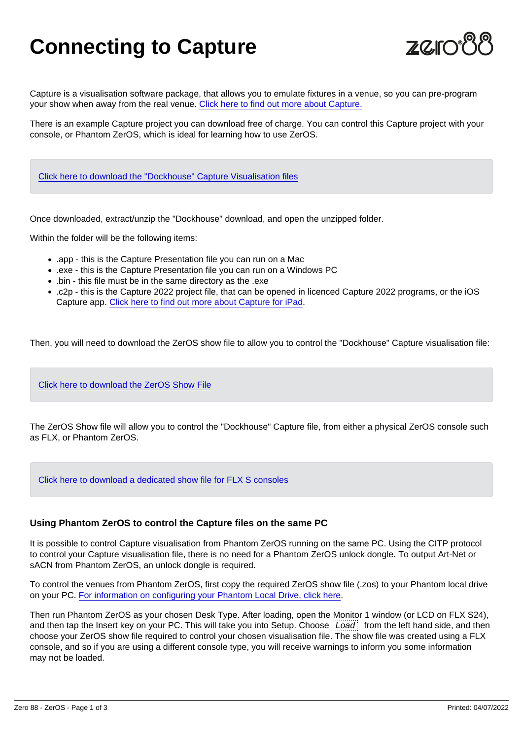## Connecting to Capture

Capture is a visualisation software package, that allows you to emulate fixtures in a venue, so you can pre-program your show when away from the real venue. [Click here to find out more about Capture.](https://www.capture.se/)

There is an example Capture project you can download free of charge. You can control this Capture project with your console, or Phantom ZerOS, which is ideal for learning how to use ZerOS.

[Click here to download the "Dockhouse" Capture Visualisation files](/storage/downloads/07ad7f4c-f129-4335-9163-992a91458a37/Dockhouse-2022.zip)

Once downloaded, extract/unzip the "Dockhouse" download, and open the unzipped folder.

Within the folder will be the following items:

- .app this is the Capture Presentation file you can run on a Mac
- .exe this is the Capture Presentation file you can run on a Windows PC
- .bin this file must be in the same directory as the .exe
- .c2p this is the Capture 2022 project file, that can be opened in licenced Capture 2022 programs, or the iOS Capture app. [Click here to find out more about Capture for iPad.](https://www.capture.se/Products/Capture-Mobile)

Then, you will need to download the ZerOS show file to allow you to control the "Dockhouse" Capture visualisation file:

[Click here to download the ZerOS Show File](/storage/downloads/7c5e5896-f827-4d23-a1c1-26b410d775bc/Dockhouse-2022.zos)

The ZerOS Show file will allow you to control the "Dockhouse" Capture file, from either a physical ZerOS console such as FLX, or Phantom ZerOS.

[Click here to download a dedicated show file for FLX S consoles](/storage/downloads/964542db-f216-445f-af7d-89b1ffa9a59b/Dockhouse-2022-FLX-S.zos)

Using Phantom ZerOS to control the Capture files on the same PC

It is possible to control Capture visualisation from Phantom ZerOS running on the same PC. Using the CITP protocol to control your Capture visualisation file, there is no need for a Phantom ZerOS unlock dongle. To output Art-Net or sACN from Phantom ZerOS, an unlock dongle is required.

To control the venues from Phantom ZerOS, first copy the required ZerOS show file (.zos) to your Phantom local drive on your PC. [For information on configuring your Phantom Local Drive, click here](/manuals/zeros/phantom-zeros).

Then run Phantom ZerOS as your chosen Desk Type. After loading, open the Monitor 1 window (or LCD on FLX S24), and then tap the Insert key on your PC. This will take you into Setup. Choose Load from the left hand side, and then choose your ZerOS show file required to control your chosen visualisation file. The show file was created using a FLX console, and so if you are using a different console type, you will receive warnings to inform you some information may not be loaded.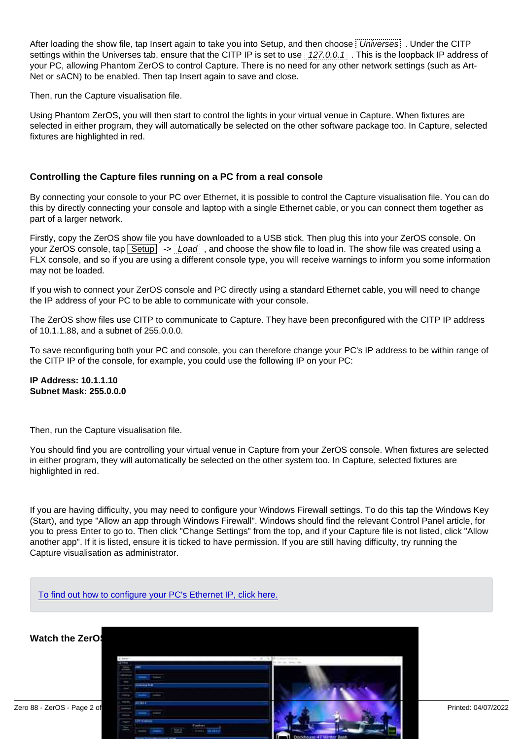After loading the show file, tap Insert again to take you into Setup, and then choose Universes . Under the CITP settings within the Universes tab, ensure that the CITP IP is set to use 127.0.0.1. This is the loopback IP address of your PC, allowing Phantom ZerOS to control Capture. There is no need for any other network settings (such as Art-Net or sACN) to be enabled. Then tap Insert again to save and close.

Then, run the Capture visualisation file.

Using Phantom ZerOS, you will then start to control the lights in your virtual venue in Capture. When fixtures are selected in either program, they will automatically be selected on the other software package too. In Capture, selected fixtures are highlighted in red.

## Controlling the Capture files running on a PC from a real console

By connecting your console to your PC over Ethernet, it is possible to control the Capture visualisation file. You can do this by directly connecting your console and laptop with a single Ethernet cable, or you can connect them together as part of a larger network.

Firstly, copy the ZerOS show file you have downloaded to a USB stick. Then plug this into your ZerOS console. On your ZerOS console, tap  $\boxed{\text{Setup}}$  ->  $\div$  Load  $\div$ , and choose the show file to load in. The show file was created using a FLX console, and so if you are using a different console type, you will receive warnings to inform you some information may not be loaded.

If you wish to connect your ZerOS console and PC directly using a standard Ethernet cable, you will need to change the IP address of your PC to be able to communicate with your console.

The ZerOS show files use CITP to communicate to Capture. They have been preconfigured with the CITP IP address of 10.1.1.88, and a subnet of 255.0.0.0.

To save reconfiguring both your PC and console, you can therefore change your PC's IP address to be within range of the CITP IP of the console, for example, you could use the following IP on your PC:

IP Address: 10.1.1.10 Subnet Mask: 255.0.0.0

Then, run the Capture visualisation file.

You should find you are controlling your virtual venue in Capture from your ZerOS console. When fixtures are selected in either program, they will automatically be selected on the other system too. In Capture, selected fixtures are highlighted in red.

If you are having difficulty, you may need to configure your Windows Firewall settings. To do this tap the Windows Key (Start), and type "Allow an app through Windows Firewall". Windows should find the relevant Control Panel article, for you to press Enter to go to. Then click "Change Settings" from the top, and if your Capture file is not listed, click "Allow another app". If it is listed, ensure it is ticked to have permission. If you are still having difficulty, try running the Capture visualisation as administrator.

[To find out how to configure your PC's Ethernet IP, click here.](/manuals/zeros/networking/windows-ip-configuration)

Watch the ZerOS & Capture training session here...